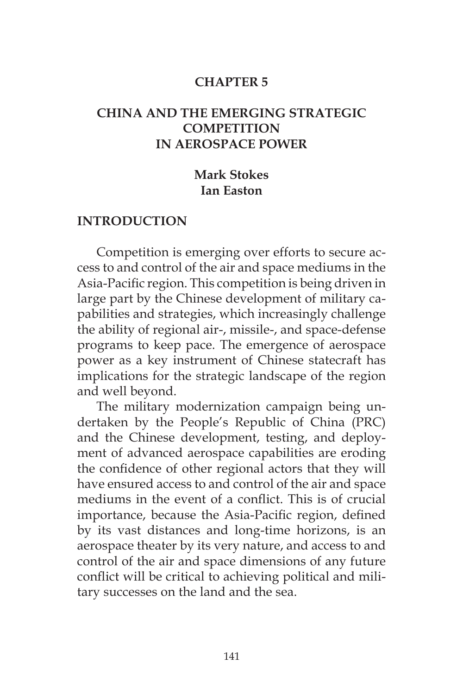#### **CHAPTER 5**

### **CHINA AND THE EMERGING STRATEGIC COMPETITION IN AEROSPACE POWER**

### **Mark Stokes Ian Easton**

#### **INTRODUCTION**

Competition is emerging over efforts to secure access to and control of the air and space mediums in the Asia-Pacific region. This competition is being driven in large part by the Chinese development of military capabilities and strategies, which increasingly challenge the ability of regional air-, missile-, and space-defense programs to keep pace. The emergence of aerospace power as a key instrument of Chinese statecraft has implications for the strategic landscape of the region and well beyond.

The military modernization campaign being undertaken by the People's Republic of China (PRC) and the Chinese development, testing, and deployment of advanced aerospace capabilities are eroding the confidence of other regional actors that they will have ensured access to and control of the air and space mediums in the event of a conflict. This is of crucial importance, because the Asia-Pacific region, defined by its vast distances and long-time horizons, is an aerospace theater by its very nature, and access to and control of the air and space dimensions of any future conflict will be critical to achieving political and military successes on the land and the sea.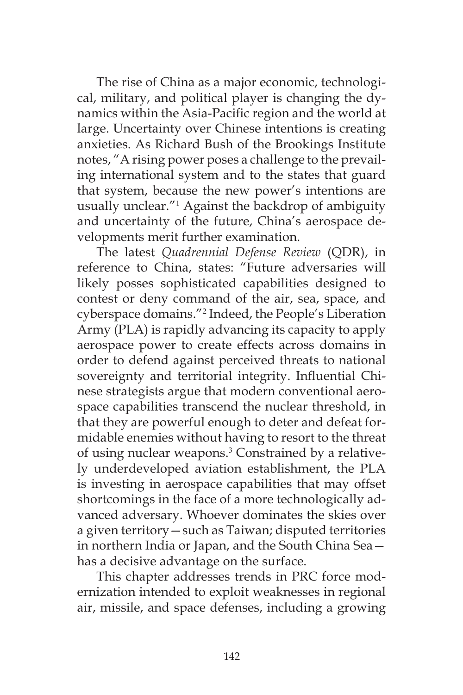The rise of China as a major economic, technological, military, and political player is changing the dynamics within the Asia-Pacific region and the world at large. Uncertainty over Chinese intentions is creating anxieties. As Richard Bush of the Brookings Institute notes, "A rising power poses a challenge to the prevailing international system and to the states that guard that system, because the new power's intentions are usually unclear."<sup>1</sup> Against the backdrop of ambiguity and uncertainty of the future, China's aerospace developments merit further examination.

The latest *Quadrennial Defense Review* (QDR), in reference to China, states: "Future adversaries will likely posses sophisticated capabilities designed to contest or deny command of the air, sea, space, and cyberspace domains."<sup>2</sup> Indeed, the People's Liberation Army (PLA) is rapidly advancing its capacity to apply aerospace power to create effects across domains in order to defend against perceived threats to national sovereignty and territorial integrity. Influential Chinese strategists argue that modern conventional aerospace capabilities transcend the nuclear threshold, in that they are powerful enough to deter and defeat formidable enemies without having to resort to the threat of using nuclear weapons.<sup>3</sup> Constrained by a relatively underdeveloped aviation establishment, the PLA is investing in aerospace capabilities that may offset shortcomings in the face of a more technologically advanced adversary. Whoever dominates the skies over a given territory—such as Taiwan; disputed territories in northern India or Japan, and the South China Sea has a decisive advantage on the surface.

This chapter addresses trends in PRC force modernization intended to exploit weaknesses in regional air, missile, and space defenses, including a growing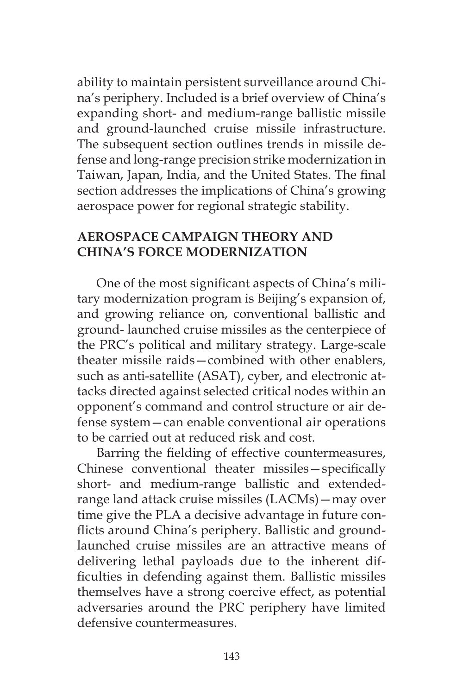ability to maintain persistent surveillance around China's periphery. Included is a brief overview of China's expanding short- and medium-range ballistic missile and ground-launched cruise missile infrastructure. The subsequent section outlines trends in missile defense and long-range precision strike modernization in Taiwan, Japan, India, and the United States. The final section addresses the implications of China's growing aerospace power for regional strategic stability.

### **AEROSPACE CAMPAIGN THEORY AND CHINA'S FORCE MODERNIZATION**

One of the most significant aspects of China's military modernization program is Beijing's expansion of, and growing reliance on, conventional ballistic and ground- launched cruise missiles as the centerpiece of the PRC's political and military strategy. Large-scale theater missile raids—combined with other enablers, such as anti-satellite (ASAT), cyber, and electronic attacks directed against selected critical nodes within an opponent's command and control structure or air defense system—can enable conventional air operations to be carried out at reduced risk and cost.

Barring the fielding of effective countermeasures, Chinese conventional theater missiles—specifically short- and medium-range ballistic and extendedrange land attack cruise missiles (LACMs)—may over time give the PLA a decisive advantage in future conflicts around China's periphery. Ballistic and groundlaunched cruise missiles are an attractive means of delivering lethal payloads due to the inherent difficulties in defending against them. Ballistic missiles themselves have a strong coercive effect, as potential adversaries around the PRC periphery have limited defensive countermeasures.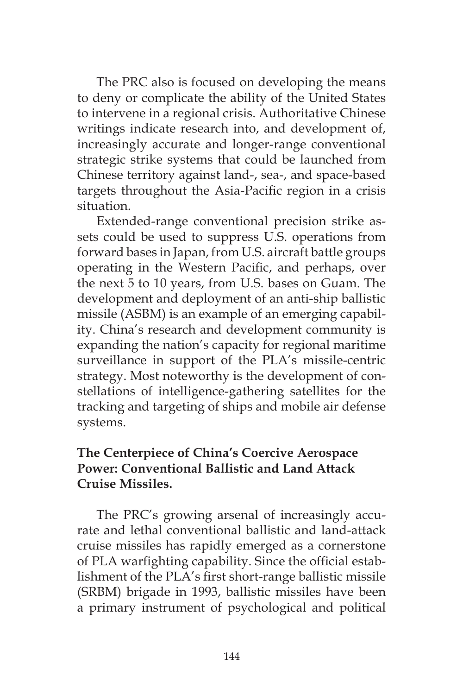The PRC also is focused on developing the means to deny or complicate the ability of the United States to intervene in a regional crisis. Authoritative Chinese writings indicate research into, and development of, increasingly accurate and longer-range conventional strategic strike systems that could be launched from Chinese territory against land-, sea-, and space-based targets throughout the Asia-Pacific region in a crisis situation.

Extended-range conventional precision strike assets could be used to suppress U.S. operations from forward bases in Japan, from U.S. aircraft battle groups operating in the Western Pacific, and perhaps, over the next 5 to 10 years, from U.S. bases on Guam. The development and deployment of an anti-ship ballistic missile (ASBM) is an example of an emerging capability. China's research and development community is expanding the nation's capacity for regional maritime surveillance in support of the PLA's missile-centric strategy. Most noteworthy is the development of constellations of intelligence-gathering satellites for the tracking and targeting of ships and mobile air defense systems.

# **The Centerpiece of China's Coercive Aerospace Power: Conventional Ballistic and Land Attack Cruise Missiles.**

The PRC's growing arsenal of increasingly accurate and lethal conventional ballistic and land-attack cruise missiles has rapidly emerged as a cornerstone of PLA warfighting capability. Since the official establishment of the PLA's first short-range ballistic missile (SRBM) brigade in 1993, ballistic missiles have been a primary instrument of psychological and political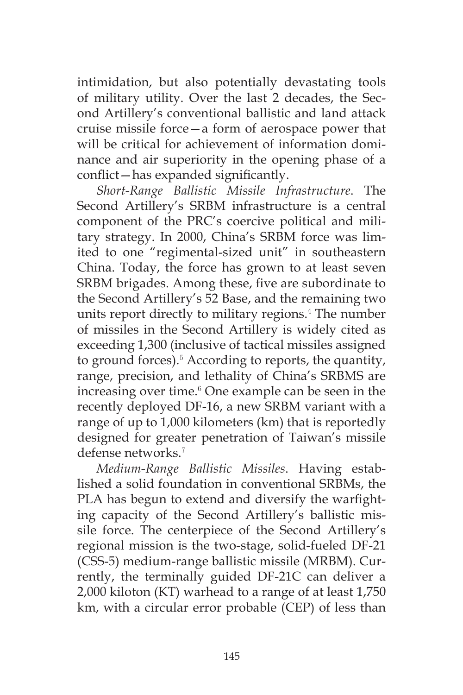intimidation, but also potentially devastating tools of military utility. Over the last 2 decades, the Second Artillery's conventional ballistic and land attack cruise missile force—a form of aerospace power that will be critical for achievement of information dominance and air superiority in the opening phase of a conflict—has expanded significantly.

*Short-Range Ballistic Missile Infrastructure*. The Second Artillery's SRBM infrastructure is a central component of the PRC's coercive political and military strategy. In 2000, China's SRBM force was limited to one "regimental-sized unit" in southeastern China. Today, the force has grown to at least seven SRBM brigades. Among these, five are subordinate to the Second Artillery's 52 Base, and the remaining two units report directly to military regions.<sup>4</sup> The number of missiles in the Second Artillery is widely cited as exceeding 1,300 (inclusive of tactical missiles assigned to ground forces).<sup>5</sup> According to reports, the quantity, range, precision, and lethality of China's SRBMS are increasing over time.<sup>6</sup> One example can be seen in the recently deployed DF-16, a new SRBM variant with a range of up to 1,000 kilometers (km) that is reportedly designed for greater penetration of Taiwan's missile defense networks.<sup>7</sup>

*Medium-Range Ballistic Missiles*. Having established a solid foundation in conventional SRBMs, the PLA has begun to extend and diversify the warfighting capacity of the Second Artillery's ballistic missile force. The centerpiece of the Second Artillery's regional mission is the two-stage, solid-fueled DF-21 (CSS-5) medium-range ballistic missile (MRBM). Currently, the terminally guided DF-21C can deliver a 2,000 kiloton (KT) warhead to a range of at least 1,750 km, with a circular error probable (CEP) of less than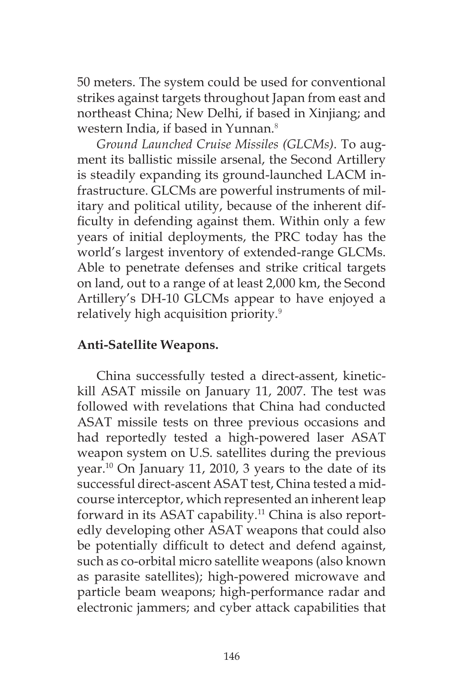50 meters. The system could be used for conventional strikes against targets throughout Japan from east and northeast China; New Delhi, if based in Xinjiang; and western India, if based in Yunnan.<sup>8</sup>

*Ground Launched Cruise Missiles (GLCMs)*. To augment its ballistic missile arsenal, the Second Artillery is steadily expanding its ground-launched LACM infrastructure. GLCMs are powerful instruments of military and political utility, because of the inherent difficulty in defending against them. Within only a few years of initial deployments, the PRC today has the world's largest inventory of extended-range GLCMs. Able to penetrate defenses and strike critical targets on land, out to a range of at least 2,000 km, the Second Artillery's DH-10 GLCMs appear to have enjoyed a relatively high acquisition priority.<sup>9</sup>

## **Anti-Satellite Weapons.**

China successfully tested a direct-assent, kinetickill ASAT missile on January 11, 2007. The test was followed with revelations that China had conducted ASAT missile tests on three previous occasions and had reportedly tested a high-powered laser ASAT weapon system on U.S. satellites during the previous year.10 On January 11, 2010, 3 years to the date of its successful direct-ascent ASAT test, China tested a midcourse interceptor, which represented an inherent leap forward in its ASAT capability.<sup>11</sup> China is also reportedly developing other ASAT weapons that could also be potentially difficult to detect and defend against, such as co-orbital micro satellite weapons (also known as parasite satellites); high-powered microwave and particle beam weapons; high-performance radar and electronic jammers; and cyber attack capabilities that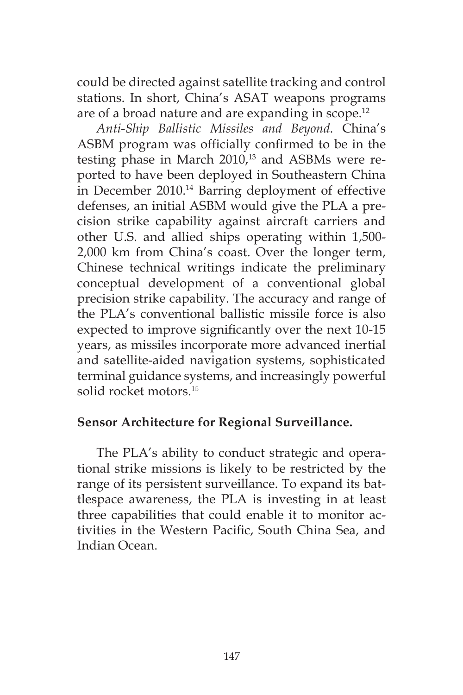could be directed against satellite tracking and control stations. In short, China's ASAT weapons programs are of a broad nature and are expanding in scope.<sup>12</sup>

*Anti-Ship Ballistic Missiles and Beyond*. China's ASBM program was officially confirmed to be in the testing phase in March 2010,<sup>13</sup> and ASBMs were reported to have been deployed in Southeastern China in December 2010.14 Barring deployment of effective defenses, an initial ASBM would give the PLA a precision strike capability against aircraft carriers and other U.S. and allied ships operating within 1,500- 2,000 km from China's coast. Over the longer term, Chinese technical writings indicate the preliminary conceptual development of a conventional global precision strike capability. The accuracy and range of the PLA's conventional ballistic missile force is also expected to improve significantly over the next 10-15 years, as missiles incorporate more advanced inertial and satellite-aided navigation systems, sophisticated terminal guidance systems, and increasingly powerful solid rocket motors.<sup>15</sup>

#### **Sensor Architecture for Regional Surveillance.**

The PLA's ability to conduct strategic and operational strike missions is likely to be restricted by the range of its persistent surveillance. To expand its battlespace awareness, the PLA is investing in at least three capabilities that could enable it to monitor activities in the Western Pacific, South China Sea, and Indian Ocean.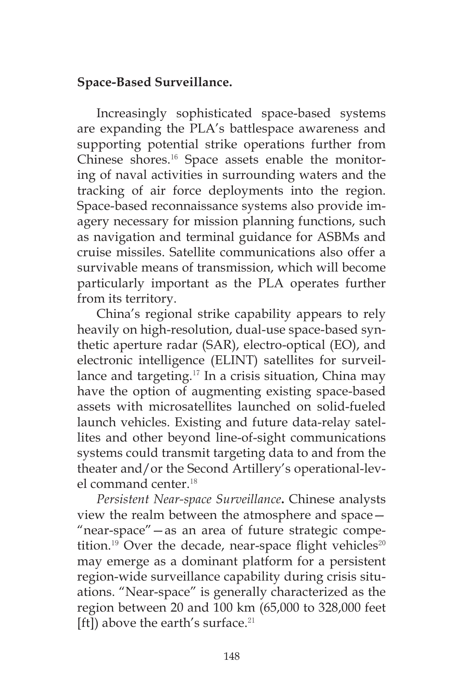## **Space-Based Surveillance.**

Increasingly sophisticated space-based systems are expanding the PLA's battlespace awareness and supporting potential strike operations further from Chinese shores.16 Space assets enable the monitoring of naval activities in surrounding waters and the tracking of air force deployments into the region. Space-based reconnaissance systems also provide imagery necessary for mission planning functions, such as navigation and terminal guidance for ASBMs and cruise missiles. Satellite communications also offer a survivable means of transmission, which will become particularly important as the PLA operates further from its territory.

China's regional strike capability appears to rely heavily on high-resolution, dual-use space-based synthetic aperture radar (SAR), electro-optical (EO), and electronic intelligence (ELINT) satellites for surveillance and targeting.<sup>17</sup> In a crisis situation, China may have the option of augmenting existing space-based assets with microsatellites launched on solid-fueled launch vehicles. Existing and future data-relay satellites and other beyond line-of-sight communications systems could transmit targeting data to and from the theater and/or the Second Artillery's operational-level command center<sup>18</sup>

*Persistent Near-space Surveillance***.** Chinese analysts view the realm between the atmosphere and space— "near-space"—as an area of future strategic competition.<sup>19</sup> Over the decade, near-space flight vehicles<sup>20</sup> may emerge as a dominant platform for a persistent region-wide surveillance capability during crisis situations. "Near-space" is generally characterized as the region between 20 and 100 km (65,000 to 328,000 feet [ft]) above the earth's surface.<sup>21</sup>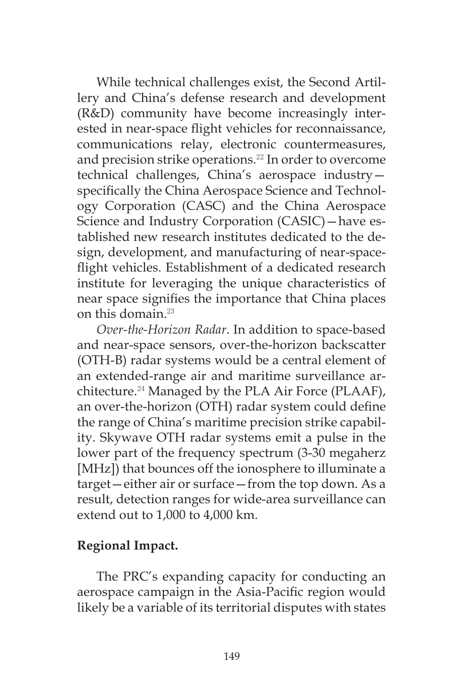While technical challenges exist, the Second Artillery and China's defense research and development (R&D) community have become increasingly interested in near-space flight vehicles for reconnaissance, communications relay, electronic countermeasures, and precision strike operations.<sup>22</sup> In order to overcome technical challenges, China's aerospace industry specifically the China Aerospace Science and Technology Corporation (CASC) and the China Aerospace Science and Industry Corporation (CASIC)—have established new research institutes dedicated to the design, development, and manufacturing of near-spaceflight vehicles. Establishment of a dedicated research institute for leveraging the unique characteristics of near space signifies the importance that China places on this domain.<sup>23</sup>

*Over-the-Horizon Radar*. In addition to space-based and near-space sensors, over-the-horizon backscatter (OTH-B) radar systems would be a central element of an extended-range air and maritime surveillance architecture.<sup>24</sup> Managed by the PLA Air Force (PLAAF), an over-the-horizon (OTH) radar system could define the range of China's maritime precision strike capability. Skywave OTH radar systems emit a pulse in the lower part of the frequency spectrum (3-30 megaherz [MHz]) that bounces off the ionosphere to illuminate a target—either air or surface—from the top down. As a result, detection ranges for wide-area surveillance can extend out to 1,000 to 4,000 km.

## **Regional Impact.**

The PRC's expanding capacity for conducting an aerospace campaign in the Asia-Pacific region would likely be a variable of its territorial disputes with states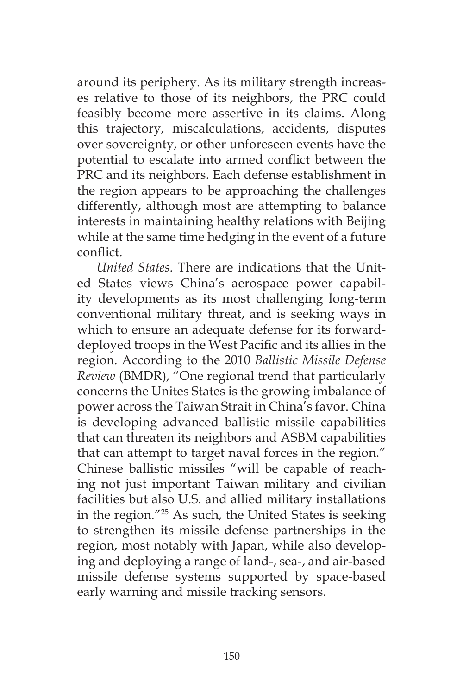around its periphery. As its military strength increases relative to those of its neighbors, the PRC could feasibly become more assertive in its claims. Along this trajectory, miscalculations, accidents, disputes over sovereignty, or other unforeseen events have the potential to escalate into armed conflict between the PRC and its neighbors. Each defense establishment in the region appears to be approaching the challenges differently, although most are attempting to balance interests in maintaining healthy relations with Beijing while at the same time hedging in the event of a future conflict.

*United States*. There are indications that the United States views China's aerospace power capability developments as its most challenging long-term conventional military threat, and is seeking ways in which to ensure an adequate defense for its forwarddeployed troops in the West Pacific and its allies in the region. According to the 2010 *Ballistic Missile Defense Review* (BMDR), "One regional trend that particularly concerns the Unites States is the growing imbalance of power across the Taiwan Strait in China's favor. China is developing advanced ballistic missile capabilities that can threaten its neighbors and ASBM capabilities that can attempt to target naval forces in the region." Chinese ballistic missiles "will be capable of reaching not just important Taiwan military and civilian facilities but also U.S. and allied military installations in the region."25 As such, the United States is seeking to strengthen its missile defense partnerships in the region, most notably with Japan, while also developing and deploying a range of land-, sea-, and air-based missile defense systems supported by space-based early warning and missile tracking sensors.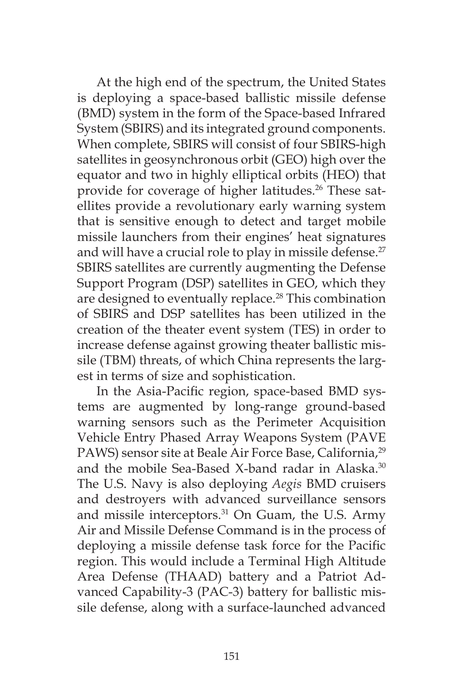At the high end of the spectrum, the United States is deploying a space-based ballistic missile defense (BMD) system in the form of the Space-based Infrared System (SBIRS) and its integrated ground components. When complete, SBIRS will consist of four SBIRS-high satellites in geosynchronous orbit (GEO) high over the equator and two in highly elliptical orbits (HEO) that provide for coverage of higher latitudes.<sup>26</sup> These satellites provide a revolutionary early warning system that is sensitive enough to detect and target mobile missile launchers from their engines' heat signatures and will have a crucial role to play in missile defense.<sup>27</sup> SBIRS satellites are currently augmenting the Defense Support Program (DSP) satellites in GEO, which they are designed to eventually replace.<sup>28</sup> This combination of SBIRS and DSP satellites has been utilized in the creation of the theater event system (TES) in order to increase defense against growing theater ballistic missile (TBM) threats, of which China represents the largest in terms of size and sophistication.

In the Asia-Pacific region, space-based BMD systems are augmented by long-range ground-based warning sensors such as the Perimeter Acquisition Vehicle Entry Phased Array Weapons System (PAVE PAWS) sensor site at Beale Air Force Base, California,<sup>29</sup> and the mobile Sea-Based X-band radar in Alaska.<sup>30</sup> The U.S. Navy is also deploying *Aegis* BMD cruisers and destroyers with advanced surveillance sensors and missile interceptors.<sup>31</sup> On Guam, the U.S. Army Air and Missile Defense Command is in the process of deploying a missile defense task force for the Pacific region. This would include a Terminal High Altitude Area Defense (THAAD) battery and a Patriot Advanced Capability-3 (PAC-3) battery for ballistic missile defense, along with a surface-launched advanced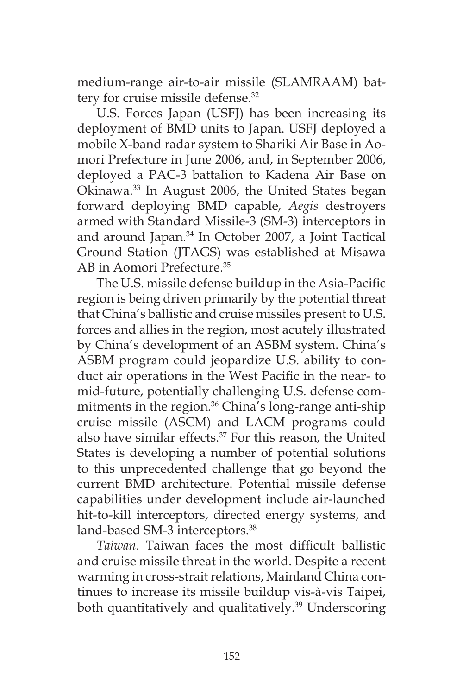medium-range air-to-air missile (SLAMRAAM) battery for cruise missile defense.<sup>32</sup>

U.S. Forces Japan (USFJ) has been increasing its deployment of BMD units to Japan. USFJ deployed a mobile X-band radar system to Shariki Air Base in Aomori Prefecture in June 2006, and, in September 2006, deployed a PAC-3 battalion to Kadena Air Base on Okinawa.33 In August 2006, the United States began forward deploying BMD capable*, Aegis* destroyers armed with Standard Missile-3 (SM-3) interceptors in and around Japan.34 In October 2007, a Joint Tactical Ground Station (JTAGS) was established at Misawa AB in Aomori Prefecture.35

The U.S. missile defense buildup in the Asia-Pacific region is being driven primarily by the potential threat that China's ballistic and cruise missiles present to U.S. forces and allies in the region, most acutely illustrated by China's development of an ASBM system. China's ASBM program could jeopardize U.S. ability to conduct air operations in the West Pacific in the near- to mid-future, potentially challenging U.S. defense commitments in the region.<sup>36</sup> China's long-range anti-ship cruise missile (ASCM) and LACM programs could also have similar effects.<sup>37</sup> For this reason, the United States is developing a number of potential solutions to this unprecedented challenge that go beyond the current BMD architecture. Potential missile defense capabilities under development include air-launched hit-to-kill interceptors, directed energy systems, and land-based SM-3 interceptors.<sup>38</sup>

*Taiwan*. Taiwan faces the most difficult ballistic and cruise missile threat in the world. Despite a recent warming in cross-strait relations, Mainland China continues to increase its missile buildup vis-à-vis Taipei, both quantitatively and qualitatively.<sup>39</sup> Underscoring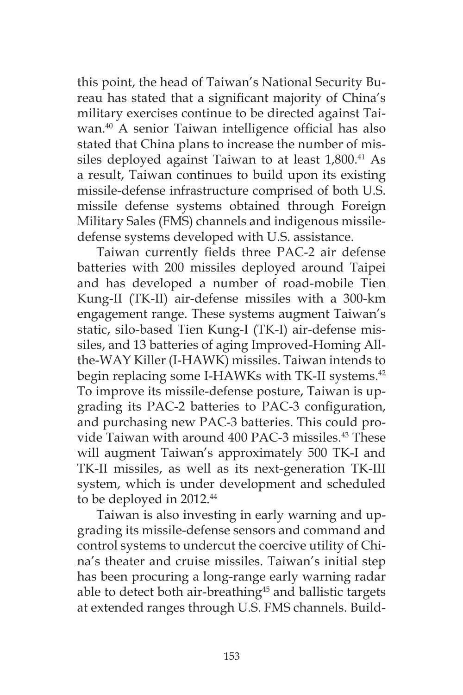this point, the head of Taiwan's National Security Bureau has stated that a significant majority of China's military exercises continue to be directed against Taiwan.40 A senior Taiwan intelligence official has also stated that China plans to increase the number of missiles deployed against Taiwan to at least 1,800.<sup>41</sup> As a result, Taiwan continues to build upon its existing missile-defense infrastructure comprised of both U.S. missile defense systems obtained through Foreign Military Sales (FMS) channels and indigenous missiledefense systems developed with U.S. assistance.

Taiwan currently fields three PAC-2 air defense batteries with 200 missiles deployed around Taipei and has developed a number of road-mobile Tien Kung-II (TK-II) air-defense missiles with a 300-km engagement range. These systems augment Taiwan's static, silo-based Tien Kung-I (TK-I) air-defense missiles, and 13 batteries of aging Improved-Homing Allthe-WAY Killer (I-HAWK) missiles. Taiwan intends to begin replacing some I-HAWKs with TK-II systems.<sup>42</sup> To improve its missile-defense posture, Taiwan is upgrading its PAC-2 batteries to PAC-3 configuration, and purchasing new PAC-3 batteries. This could provide Taiwan with around 400 PAC-3 missiles.43 These will augment Taiwan's approximately 500 TK-I and TK-II missiles, as well as its next-generation TK-III system, which is under development and scheduled to be deployed in 2012.<sup>44</sup>

Taiwan is also investing in early warning and upgrading its missile-defense sensors and command and control systems to undercut the coercive utility of China's theater and cruise missiles. Taiwan's initial step has been procuring a long-range early warning radar able to detect both air-breathing<sup>45</sup> and ballistic targets at extended ranges through U.S. FMS channels. Build-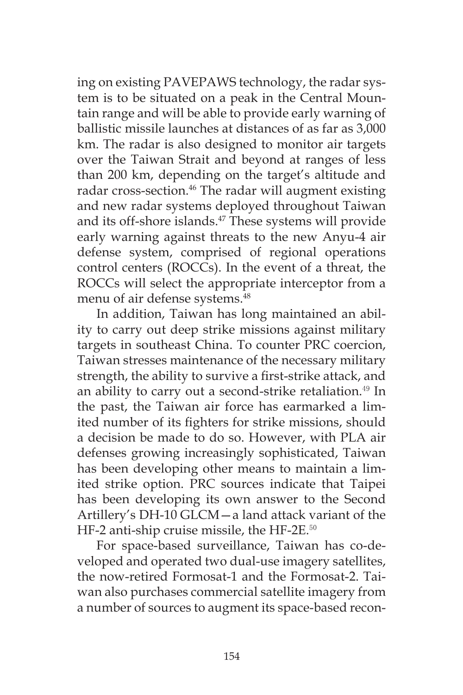ing on existing PAVEPAWS technology, the radar system is to be situated on a peak in the Central Mountain range and will be able to provide early warning of ballistic missile launches at distances of as far as 3,000 km. The radar is also designed to monitor air targets over the Taiwan Strait and beyond at ranges of less than 200 km, depending on the target's altitude and radar cross-section.<sup>46</sup> The radar will augment existing and new radar systems deployed throughout Taiwan and its off-shore islands.<sup>47</sup> These systems will provide early warning against threats to the new Anyu-4 air defense system, comprised of regional operations control centers (ROCCs). In the event of a threat, the ROCCs will select the appropriate interceptor from a menu of air defense systems.<sup>48</sup>

In addition, Taiwan has long maintained an ability to carry out deep strike missions against military targets in southeast China. To counter PRC coercion, Taiwan stresses maintenance of the necessary military strength, the ability to survive a first-strike attack, and an ability to carry out a second-strike retaliation.<sup>49</sup> In the past, the Taiwan air force has earmarked a limited number of its fighters for strike missions, should a decision be made to do so. However, with PLA air defenses growing increasingly sophisticated, Taiwan has been developing other means to maintain a limited strike option. PRC sources indicate that Taipei has been developing its own answer to the Second Artillery's DH-10 GLCM—a land attack variant of the HF-2 anti-ship cruise missile, the HF-2E.<sup>50</sup>

For space-based surveillance, Taiwan has co-developed and operated two dual-use imagery satellites, the now-retired Formosat-1 and the Formosat-2. Taiwan also purchases commercial satellite imagery from a number of sources to augment its space-based recon-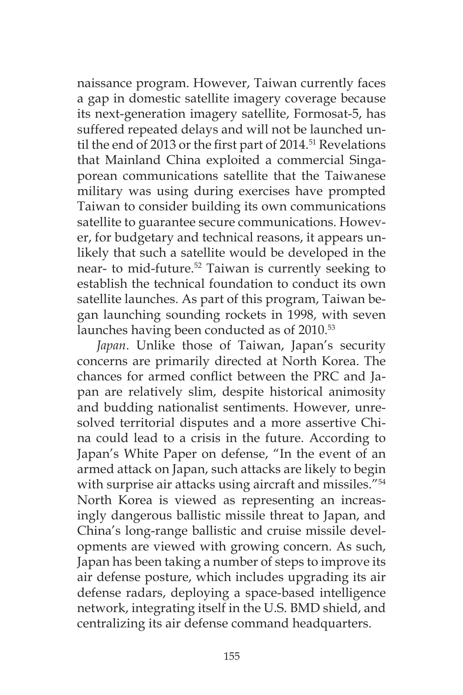naissance program. However, Taiwan currently faces a gap in domestic satellite imagery coverage because its next-generation imagery satellite, Formosat-5, has suffered repeated delays and will not be launched until the end of 2013 or the first part of 2014.<sup>51</sup> Revelations that Mainland China exploited a commercial Singaporean communications satellite that the Taiwanese military was using during exercises have prompted Taiwan to consider building its own communications satellite to guarantee secure communications. However, for budgetary and technical reasons, it appears unlikely that such a satellite would be developed in the near- to mid-future.<sup>52</sup> Taiwan is currently seeking to establish the technical foundation to conduct its own satellite launches. As part of this program, Taiwan began launching sounding rockets in 1998, with seven launches having been conducted as of 2010.<sup>53</sup>

*Japan*. Unlike those of Taiwan, Japan's security concerns are primarily directed at North Korea. The chances for armed conflict between the PRC and Japan are relatively slim, despite historical animosity and budding nationalist sentiments. However, unresolved territorial disputes and a more assertive China could lead to a crisis in the future. According to Japan's White Paper on defense, "In the event of an armed attack on Japan, such attacks are likely to begin with surprise air attacks using aircraft and missiles."<sup>54</sup> North Korea is viewed as representing an increasingly dangerous ballistic missile threat to Japan, and China's long-range ballistic and cruise missile developments are viewed with growing concern. As such, Japan has been taking a number of steps to improve its air defense posture, which includes upgrading its air defense radars, deploying a space-based intelligence network, integrating itself in the U.S. BMD shield, and centralizing its air defense command headquarters.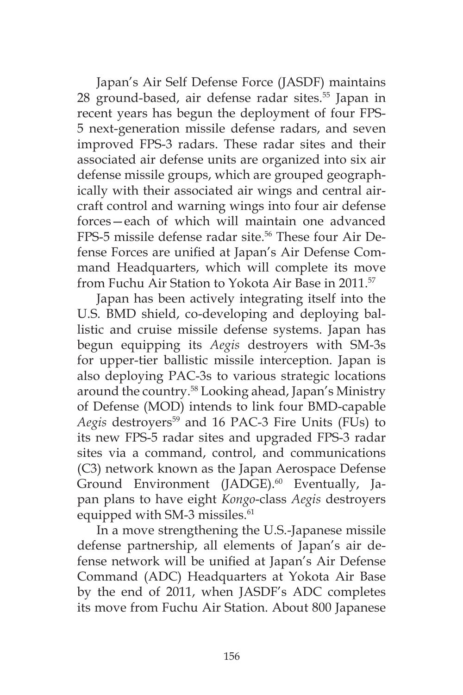Japan's Air Self Defense Force (JASDF) maintains 28 ground-based, air defense radar sites.<sup>55</sup> Japan in recent years has begun the deployment of four FPS-5 next-generation missile defense radars, and seven improved FPS-3 radars. These radar sites and their associated air defense units are organized into six air defense missile groups, which are grouped geographically with their associated air wings and central aircraft control and warning wings into four air defense forces—each of which will maintain one advanced FPS-5 missile defense radar site.<sup>56</sup> These four Air Defense Forces are unified at Japan's Air Defense Command Headquarters, which will complete its move from Fuchu Air Station to Yokota Air Base in 2011.<sup>57</sup>

Japan has been actively integrating itself into the U.S. BMD shield, co-developing and deploying ballistic and cruise missile defense systems. Japan has begun equipping its *Aegis* destroyers with SM-3s for upper-tier ballistic missile interception. Japan is also deploying PAC-3s to various strategic locations around the country.58 Looking ahead, Japan's Ministry of Defense (MOD) intends to link four BMD-capable Aegis destroyers<sup>59</sup> and 16 PAC-3 Fire Units (FUs) to its new FPS-5 radar sites and upgraded FPS-3 radar sites via a command, control, and communications (C3) network known as the Japan Aerospace Defense Ground Environment (JADGE).<sup>60</sup> Eventually, Japan plans to have eight *Kongo*-class *Aegis* destroyers equipped with SM-3 missiles.<sup>61</sup>

In a move strengthening the U.S.-Japanese missile defense partnership, all elements of Japan's air defense network will be unified at Japan's Air Defense Command (ADC) Headquarters at Yokota Air Base by the end of 2011, when JASDF's ADC completes its move from Fuchu Air Station. About 800 Japanese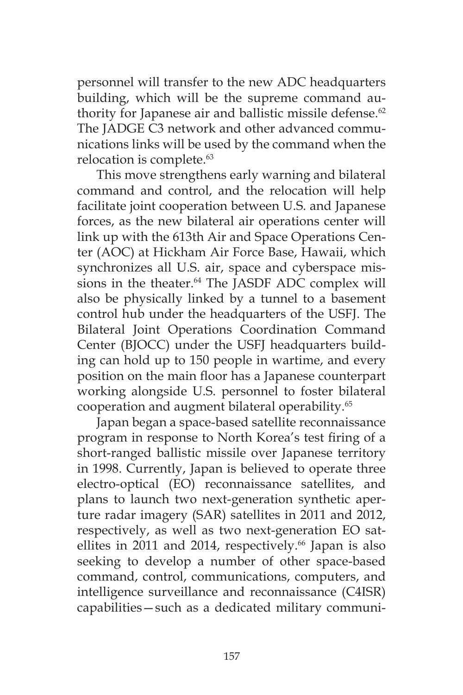personnel will transfer to the new ADC headquarters building, which will be the supreme command authority for Japanese air and ballistic missile defense.<sup>62</sup> The JADGE C3 network and other advanced communications links will be used by the command when the relocation is complete.<sup>63</sup>

This move strengthens early warning and bilateral command and control, and the relocation will help facilitate joint cooperation between U.S. and Japanese forces, as the new bilateral air operations center will link up with the 613th Air and Space Operations Center (AOC) at Hickham Air Force Base, Hawaii, which synchronizes all U.S. air, space and cyberspace missions in the theater.<sup>64</sup> The JASDF ADC complex will also be physically linked by a tunnel to a basement control hub under the headquarters of the USFJ. The Bilateral Joint Operations Coordination Command Center (BJOCC) under the USFJ headquarters building can hold up to 150 people in wartime, and every position on the main floor has a Japanese counterpart working alongside U.S. personnel to foster bilateral cooperation and augment bilateral operability.65

Japan began a space-based satellite reconnaissance program in response to North Korea's test firing of a short-ranged ballistic missile over Japanese territory in 1998. Currently, Japan is believed to operate three electro-optical (EO) reconnaissance satellites, and plans to launch two next-generation synthetic aperture radar imagery (SAR) satellites in 2011 and 2012, respectively, as well as two next-generation EO satellites in 2011 and 2014, respectively.<sup>66</sup> Japan is also seeking to develop a number of other space-based command, control, communications, computers, and intelligence surveillance and reconnaissance (C4ISR) capabilities—such as a dedicated military communi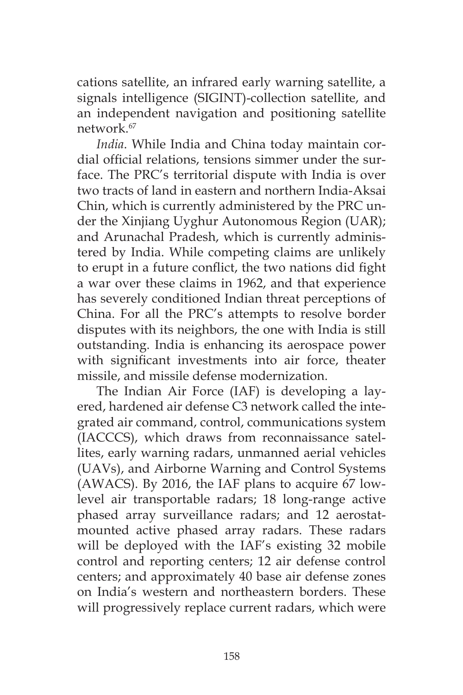cations satellite, an infrared early warning satellite, a signals intelligence (SIGINT)-collection satellite, and an independent navigation and positioning satellite network.67

*India*. While India and China today maintain cordial official relations, tensions simmer under the surface. The PRC's territorial dispute with India is over two tracts of land in eastern and northern India-Aksai Chin, which is currently administered by the PRC under the Xinjiang Uyghur Autonomous Region (UAR); and Arunachal Pradesh, which is currently administered by India. While competing claims are unlikely to erupt in a future conflict, the two nations did fight a war over these claims in 1962, and that experience has severely conditioned Indian threat perceptions of China. For all the PRC's attempts to resolve border disputes with its neighbors, the one with India is still outstanding. India is enhancing its aerospace power with significant investments into air force, theater missile, and missile defense modernization.

The Indian Air Force (IAF) is developing a layered, hardened air defense C3 network called the integrated air command, control, communications system (IACCCS), which draws from reconnaissance satellites, early warning radars, unmanned aerial vehicles (UAVs), and Airborne Warning and Control Systems (AWACS). By 2016, the IAF plans to acquire 67 lowlevel air transportable radars; 18 long-range active phased array surveillance radars; and 12 aerostatmounted active phased array radars. These radars will be deployed with the IAF's existing 32 mobile control and reporting centers; 12 air defense control centers; and approximately 40 base air defense zones on India's western and northeastern borders. These will progressively replace current radars, which were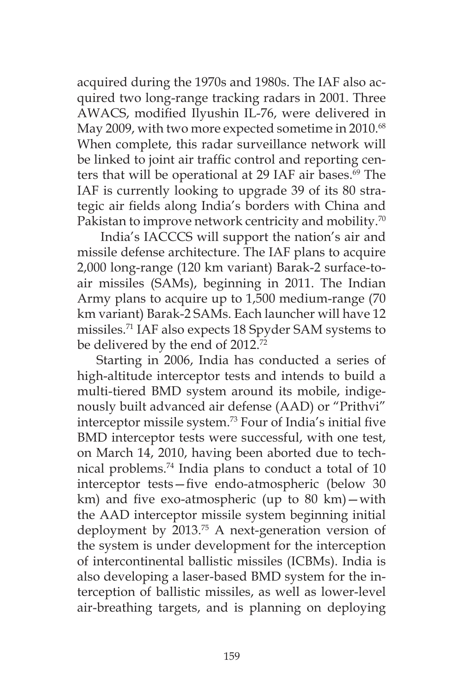acquired during the 1970s and 1980s. The IAF also acquired two long-range tracking radars in 2001. Three AWACS, modified Ilyushin IL-76, were delivered in May 2009, with two more expected sometime in 2010.<sup>68</sup> When complete, this radar surveillance network will be linked to joint air traffic control and reporting centers that will be operational at 29 IAF air bases.<sup>69</sup> The IAF is currently looking to upgrade 39 of its 80 strategic air fields along India's borders with China and Pakistan to improve network centricity and mobility.<sup>70</sup>

 India's IACCCS will support the nation's air and missile defense architecture. The IAF plans to acquire 2,000 long-range (120 km variant) Barak-2 surface-toair missiles (SAMs), beginning in 2011. The Indian Army plans to acquire up to 1,500 medium-range (70 km variant) Barak-2 SAMs. Each launcher will have 12 missiles.71 IAF also expects 18 Spyder SAM systems to be delivered by the end of 2012.<sup>72</sup>

Starting in 2006, India has conducted a series of high-altitude interceptor tests and intends to build a multi-tiered BMD system around its mobile, indigenously built advanced air defense (AAD) or "Prithvi" interceptor missile system.73 Four of India's initial five BMD interceptor tests were successful, with one test, on March 14, 2010, having been aborted due to technical problems.74 India plans to conduct a total of 10 interceptor tests—five endo-atmospheric (below 30 km) and five exo-atmospheric (up to 80 km)—with the AAD interceptor missile system beginning initial deployment by 2013.<sup>75</sup> A next-generation version of the system is under development for the interception of intercontinental ballistic missiles (ICBMs). India is also developing a laser-based BMD system for the interception of ballistic missiles, as well as lower-level air-breathing targets, and is planning on deploying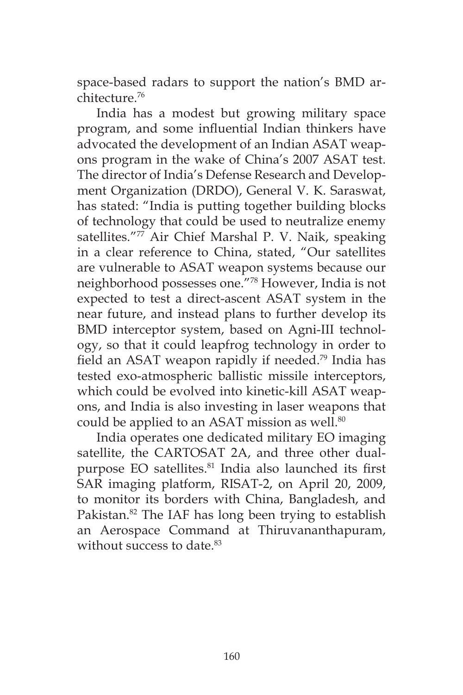space-based radars to support the nation's BMD architecture.76

India has a modest but growing military space program, and some influential Indian thinkers have advocated the development of an Indian ASAT weapons program in the wake of China's 2007 ASAT test. The director of India's Defense Research and Development Organization (DRDO), General V. K. Saraswat, has stated: "India is putting together building blocks of technology that could be used to neutralize enemy satellites."<sup>77</sup> Air Chief Marshal P. V. Naik, speaking in a clear reference to China, stated, "Our satellites are vulnerable to ASAT weapon systems because our neighborhood possesses one."78 However, India is not expected to test a direct-ascent ASAT system in the near future, and instead plans to further develop its BMD interceptor system, based on Agni-III technology, so that it could leapfrog technology in order to field an ASAT weapon rapidly if needed.79 India has tested exo-atmospheric ballistic missile interceptors, which could be evolved into kinetic-kill ASAT weapons, and India is also investing in laser weapons that could be applied to an ASAT mission as well.<sup>80</sup>

India operates one dedicated military EO imaging satellite, the CARTOSAT 2A, and three other dualpurpose EO satellites.<sup>81</sup> India also launched its first SAR imaging platform, RISAT-2, on April 20, 2009, to monitor its borders with China, Bangladesh, and Pakistan.<sup>82</sup> The IAF has long been trying to establish an Aerospace Command at Thiruvananthapuram, without success to date.<sup>83</sup>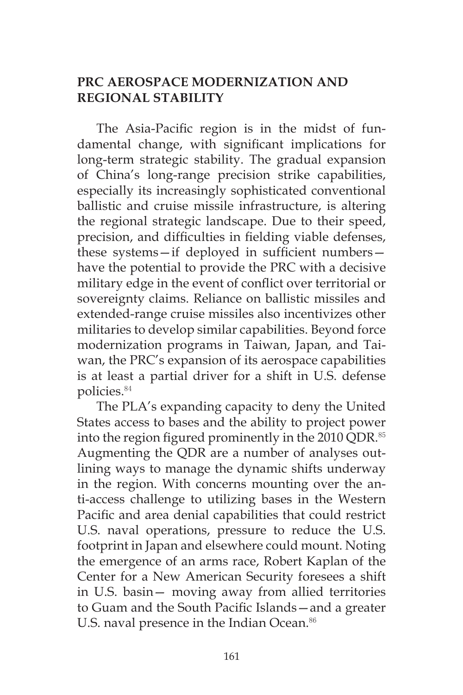## **PRC AEROSPACE MODERNIZATION AND REGIONAL STABILITY**

The Asia-Pacific region is in the midst of fundamental change, with significant implications for long-term strategic stability. The gradual expansion of China's long-range precision strike capabilities, especially its increasingly sophisticated conventional ballistic and cruise missile infrastructure, is altering the regional strategic landscape. Due to their speed, precision, and difficulties in fielding viable defenses, these systems—if deployed in sufficient numbers have the potential to provide the PRC with a decisive military edge in the event of conflict over territorial or sovereignty claims. Reliance on ballistic missiles and extended-range cruise missiles also incentivizes other militaries to develop similar capabilities. Beyond force modernization programs in Taiwan, Japan, and Taiwan, the PRC's expansion of its aerospace capabilities is at least a partial driver for a shift in U.S. defense policies.<sup>84</sup>

The PLA's expanding capacity to deny the United States access to bases and the ability to project power into the region figured prominently in the 2010 QDR.<sup>85</sup> Augmenting the QDR are a number of analyses outlining ways to manage the dynamic shifts underway in the region. With concerns mounting over the anti-access challenge to utilizing bases in the Western Pacific and area denial capabilities that could restrict U.S. naval operations, pressure to reduce the U.S. footprint in Japan and elsewhere could mount. Noting the emergence of an arms race, Robert Kaplan of the Center for a New American Security foresees a shift in U.S. basin— moving away from allied territories to Guam and the South Pacific Islands—and a greater U.S. naval presence in the Indian Ocean.<sup>86</sup>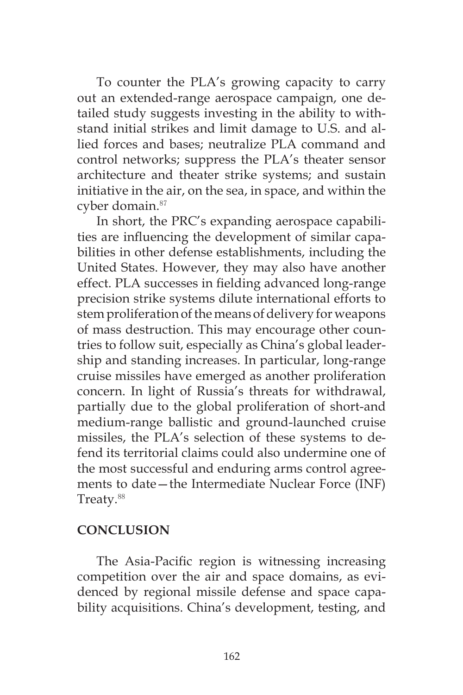To counter the PLA's growing capacity to carry out an extended-range aerospace campaign, one detailed study suggests investing in the ability to withstand initial strikes and limit damage to U.S. and allied forces and bases; neutralize PLA command and control networks; suppress the PLA's theater sensor architecture and theater strike systems; and sustain initiative in the air, on the sea, in space, and within the cyber domain.<sup>87</sup>

In short, the PRC's expanding aerospace capabilities are influencing the development of similar capabilities in other defense establishments, including the United States. However, they may also have another effect. PLA successes in fielding advanced long-range precision strike systems dilute international efforts to stem proliferation of the means of delivery for weapons of mass destruction. This may encourage other countries to follow suit, especially as China's global leadership and standing increases. In particular, long-range cruise missiles have emerged as another proliferation concern. In light of Russia's threats for withdrawal, partially due to the global proliferation of short-and medium-range ballistic and ground-launched cruise missiles, the PLA's selection of these systems to defend its territorial claims could also undermine one of the most successful and enduring arms control agreements to date—the Intermediate Nuclear Force (INF) Treaty.<sup>88</sup>

#### **CONCLUSION**

The Asia-Pacific region is witnessing increasing competition over the air and space domains, as evidenced by regional missile defense and space capability acquisitions. China's development, testing, and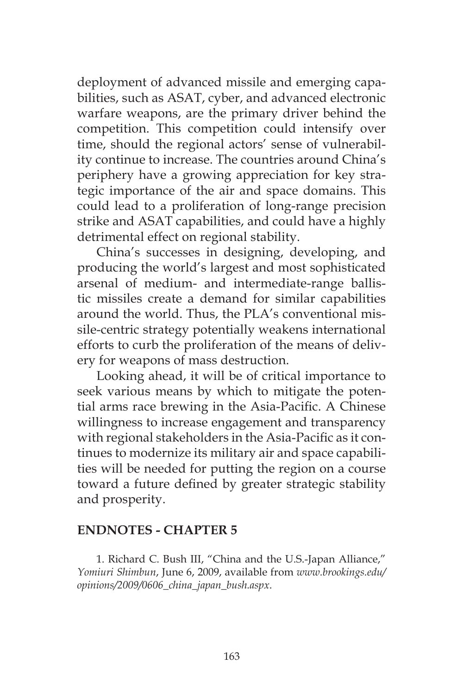deployment of advanced missile and emerging capabilities, such as ASAT, cyber, and advanced electronic warfare weapons, are the primary driver behind the competition. This competition could intensify over time, should the regional actors' sense of vulnerability continue to increase. The countries around China's periphery have a growing appreciation for key strategic importance of the air and space domains. This could lead to a proliferation of long-range precision strike and ASAT capabilities, and could have a highly detrimental effect on regional stability.

China's successes in designing, developing, and producing the world's largest and most sophisticated arsenal of medium- and intermediate-range ballistic missiles create a demand for similar capabilities around the world. Thus, the PLA's conventional missile-centric strategy potentially weakens international efforts to curb the proliferation of the means of delivery for weapons of mass destruction.

Looking ahead, it will be of critical importance to seek various means by which to mitigate the potential arms race brewing in the Asia-Pacific. A Chinese willingness to increase engagement and transparency with regional stakeholders in the Asia-Pacific as it continues to modernize its military air and space capabilities will be needed for putting the region on a course toward a future defined by greater strategic stability and prosperity.

#### **ENDNOTES - CHAPTER 5**

1. Richard C. Bush III, "China and the U.S.-Japan Alliance," *Yomiuri Shimbun*, June 6, 2009, available from *www.brookings.edu/ opinions/2009/0606\_china\_japan\_bush.aspx*.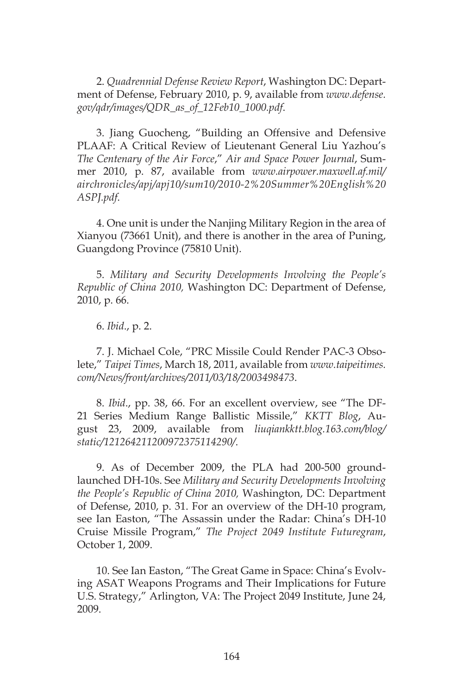2. *Quadrennial Defense Review Report*, Washington DC: Department of Defense, February 2010, p. 9, available from *www.defense. gov/qdr/images/QDR\_as\_of\_12Feb10\_1000.pdf*.

3. Jiang Guocheng, "Building an Offensive and Defensive PLAAF: A Critical Review of Lieutenant General Liu Yazhou's *The Centenary of the Air Force*," *Air and Space Power Journal*, Summer 2010, p. 87, available from *www.airpower.maxwell.af.mil/ airchronicles/apj/apj10/sum10/2010-2%20Summer%20English%20 ASPJ.pdf*.

4. One unit is under the Nanjing Military Region in the area of Xianyou (73661 Unit), and there is another in the area of Puning, Guangdong Province (75810 Unit).

5. *Military and Security Developments Involving the People's Republic of China 2010,* Washington DC: Department of Defense, 2010, p. 66.

6. *Ibid*., p. 2.

7. J. Michael Cole, "PRC Missile Could Render PAC-3 Obsolete," *Taipei Times*, March 18, 2011, available from *www.taipeitimes. com/News/front/archives/2011/03/18/2003498473*.

8. *Ibid*., pp. 38, 66. For an excellent overview, see "The DF-21 Series Medium Range Ballistic Missile," *KKTT Blog*, August 23, 2009, available from *liuqiankktt.blog.163.com/blog/ static/121264211200972375114290/*.

9. As of December 2009, the PLA had 200-500 groundlaunched DH-10s. See *Military and Security Developments Involving the People's Republic of China 2010,* Washington, DC: Department of Defense, 2010, p. 31. For an overview of the DH-10 program, see Ian Easton, "The Assassin under the Radar: China's DH-10 Cruise Missile Program," *The Project 2049 Institute Futuregram*, October 1, 2009.

10. See Ian Easton, "The Great Game in Space: China's Evolving ASAT Weapons Programs and Their Implications for Future U.S. Strategy," Arlington, VA: The Project 2049 Institute, June 24, 2009.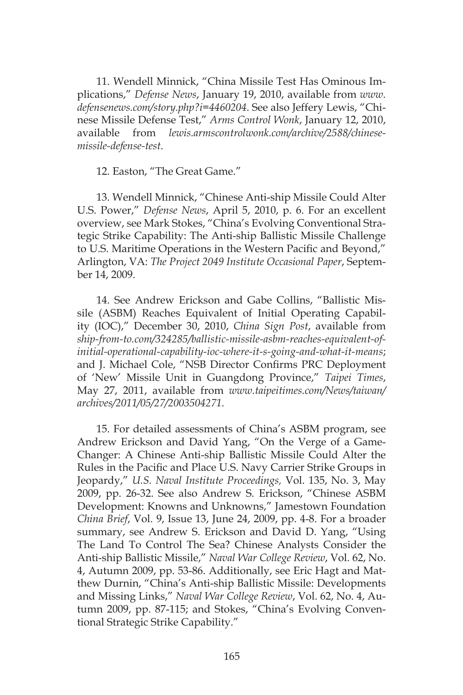11. Wendell Minnick, "China Missile Test Has Ominous Implications," *Defense News*, January 19, 2010, available from *www. defensenews.com/story.php?i=4460204*. See also Jeffery Lewis, "Chinese Missile Defense Test," *Arms Control Wonk*, January 12, 2010, available from *lewis.armscontrolwonk.com/archive/2588/chinesemissile-defense-test*.

12. Easton, "The Great Game."

13. Wendell Minnick, "Chinese Anti-ship Missile Could Alter U.S. Power," *Defense News*, April 5, 2010, p. 6. For an excellent overview, see Mark Stokes, "China's Evolving Conventional Strategic Strike Capability: The Anti-ship Ballistic Missile Challenge to U.S. Maritime Operations in the Western Pacific and Beyond," Arlington, VA: *The Project 2049 Institute Occasional Paper*, September 14, 2009.

14. See Andrew Erickson and Gabe Collins, "Ballistic Missile (ASBM) Reaches Equivalent of Initial Operating Capability (IOC)," December 30, 2010, *China Sign Post*, available from *ship-from-to.com/324285/ballistic-missile-asbm-reaches-equivalent-ofinitial-operational-capability-ioc-where-it-s-going-and-what-it-means*; and J. Michael Cole, "NSB Director Confirms PRC Deployment of 'New' Missile Unit in Guangdong Province," *Taipei Times*, May 27, 2011, available from *www.taipeitimes.com/News/taiwan/ archives/2011/05/27/2003504271*.

15. For detailed assessments of China's ASBM program, see Andrew Erickson and David Yang, "On the Verge of a Game-Changer: A Chinese Anti-ship Ballistic Missile Could Alter the Rules in the Pacific and Place U.S. Navy Carrier Strike Groups in Jeopardy," *U.S. Naval Institute Proceedings,* Vol. 135, No. 3, May 2009, pp. 26-32. See also Andrew S. Erickson, "Chinese ASBM Development: Knowns and Unknowns," Jamestown Foundation *China Brief*, Vol. 9, Issue 13, June 24, 2009, pp. 4-8. For a broader summary, see Andrew S. Erickson and David D. Yang, "Using The Land To Control The Sea? Chinese Analysts Consider the Anti-ship Ballistic Missile," *Naval War College Review*, Vol. 62, No. 4, Autumn 2009, pp. 53-86. Additionally, see Eric Hagt and Matthew Durnin, "China's Anti-ship Ballistic Missile: Developments and Missing Links," *Naval War College Review*, Vol. 62, No. 4, Autumn 2009, pp. 87-115; and Stokes, "China's Evolving Conventional Strategic Strike Capability."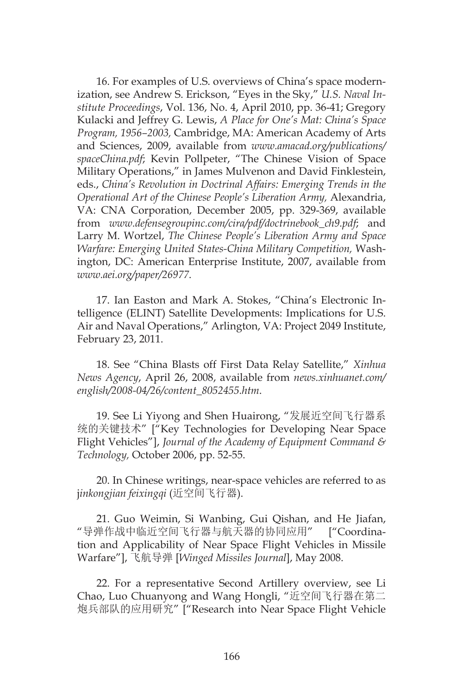16. For examples of U.S. overviews of China's space modernization, see Andrew S. Erickson, "Eyes in the Sky," *U.S. Naval Institute Proceedings*, Vol. 136, No. 4, April 2010, pp. 36-41; Gregory Kulacki and Jeffrey G. Lewis, *A Place for One's Mat: China's Space Program, 1956–2003,* Cambridge, MA: American Academy of Arts and Sciences, 2009, available from *www.amacad.org/publications/ spaceChina.pdf*; Kevin Pollpeter, "The Chinese Vision of Space Military Operations," in James Mulvenon and David Finklestein, eds., *China's Revolution in Doctrinal Affairs: Emerging Trends in the Operational Art of the Chinese People's Liberation Army,* Alexandria, VA: CNA Corporation, December 2005, pp. 329-369, available from *www.defensegroupinc.com/cira/pdf/doctrinebook\_ch9.pdf*; and Larry M. Wortzel, *The Chinese People's Liberation Army and Space Warfare: Emerging United States-China Military Competition,* Washington, DC: American Enterprise Institute, 2007, available from *www.aei.org/paper/26977*.

17. Ian Easton and Mark A. Stokes, "China's Electronic Intelligence (ELINT) Satellite Developments: Implications for U.S. Air and Naval Operations," Arlington, VA: Project 2049 Institute, February 23, 2011.

18. See "China Blasts off First Data Relay Satellite," *Xinhua News Agency*, April 26, 2008, available from *news.xinhuanet.com/ english/2008-04/26/content\_8052455.htm*.

19. See Li Yiyong and Shen Huairong, "发展近空间飞行器系 统的关键技术" ["Key Technologies for Developing Near Space Flight Vehicles"], *Journal of the Academy of Equipment Command & Technology,* October 2006, pp. 52-55.

20. In Chinese writings, near-space vehicles are referred to as j*inkongjian feixingqi* (近空间飞行器).

21. Guo Weimin, Si Wanbing, Gui Qishan, and He Jiafan, "导弹作战中临近空间飞行器与航天器的协同应用" ["Coordination and Applicability of Near Space Flight Vehicles in Missile Warfare"], 飞航导弹 [*Winged Missiles Journal*], May 2008.

22. For a representative Second Artillery overview, see Li Chao, Luo Chuanyong and Wang Hongli, "近空间飞行器在第二 炮兵部队的应用研究" ["Research into Near Space Flight Vehicle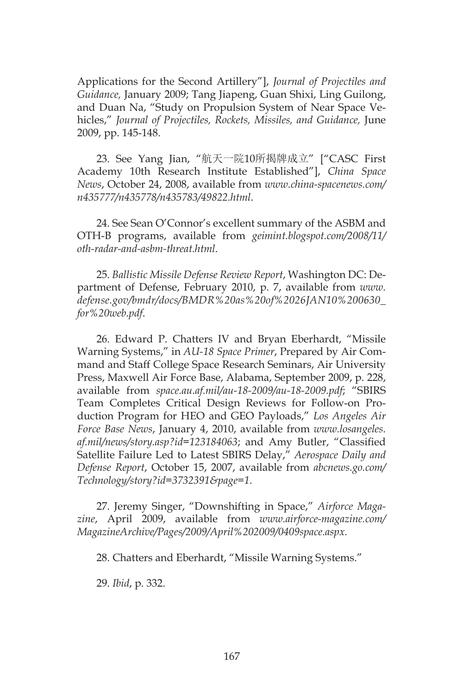Applications for the Second Artillery"], *Journal of Projectiles and Guidance,* January 2009; Tang Jiapeng, Guan Shixi, Ling Guilong, and Duan Na, "Study on Propulsion System of Near Space Vehicles," *Journal of Projectiles, Rockets, Missiles, and Guidance,* June 2009, pp. 145-148.

23. See Yang Jian, "航天一院10所揭牌成立" ["CASC First Academy 10th Research Institute Established"], *China Space News*, October 24, 2008, available from *www.china-spacenews.com/ n435777/n435778/n435783/49822.html*.

24. See Sean O'Connor's excellent summary of the ASBM and OTH-B programs, available from *geimint.blogspot.com/2008/11/ oth-radar-and-asbm-threat.html*.

25. *Ballistic Missile Defense Review Report*, Washington DC: Department of Defense, February 2010, p. 7, available from *www. defense.gov/bmdr/docs/BMDR%20as%20of%2026JAN10%200630\_ for%20web.pdf*.

26. Edward P. Chatters IV and Bryan Eberhardt, "Missile Warning Systems," in *AU-18 Space Primer*, Prepared by Air Command and Staff College Space Research Seminars, Air University Press, Maxwell Air Force Base, Alabama, September 2009, p. 228, available from *space.au.af.mil/au-18-2009/au-18-2009.pdf*; "SBIRS Team Completes Critical Design Reviews for Follow-on Production Program for HEO and GEO Payloads," *Los Angeles Air Force Base News*, January 4, 2010, available from *www.losangeles. af.mil/news/story.asp?id=123184063*; and Amy Butler, "Classified Satellite Failure Led to Latest SBIRS Delay," *Aerospace Daily and Defense Report*, October 15, 2007, available from *abcnews.go.com/ Technology/story?id=3732391&page=1*.

27. Jeremy Singer, "Downshifting in Space," *Airforce Magazine*, April 2009, available from *www.airforce-magazine.com/ MagazineArchive/Pages/2009/April%202009/0409space.aspx.*

28. Chatters and Eberhardt, "Missile Warning Systems."

29. *Ibid*, p. 332.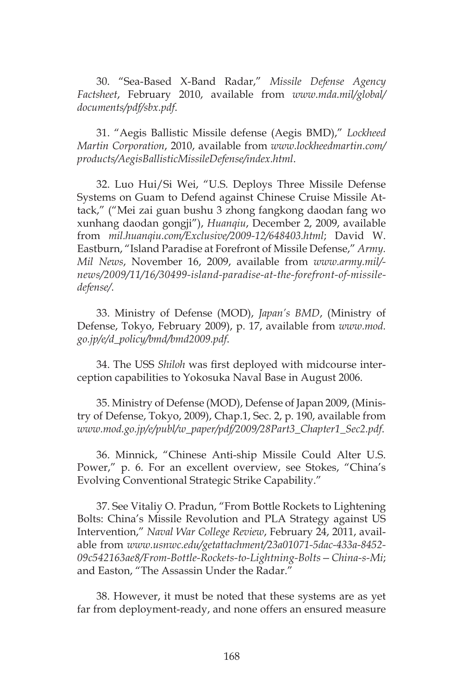30. "Sea-Based X-Band Radar," *Missile Defense Agency Factsheet*, February 2010, available from *www.mda.mil/global/ documents/pdf/sbx.pdf*.

31. "Aegis Ballistic Missile defense (Aegis BMD)," *Lockheed Martin Corporation*, 2010, available from *www.lockheedmartin.com/ products/AegisBallisticMissileDefense/index.html*.

32. Luo Hui/Si Wei, "U.S. Deploys Three Missile Defense Systems on Guam to Defend against Chinese Cruise Missile Attack," ("Mei zai guan bushu 3 zhong fangkong daodan fang wo xunhang daodan gongji"), *Huanqiu*, December 2, 2009, available from *mil.huanqiu.com/Exclusive/2009-12/648403.html*; David W. Eastburn, "Island Paradise at Forefront of Missile Defense," *Army. Mil News*, November 16, 2009, available from *www.army.mil/ news/2009/11/16/30499-island-paradise-at-the-forefront-of-missiledefense/*.

33. Ministry of Defense (MOD), *Japan's BMD*, (Ministry of Defense, Tokyo, February 2009), p. 17, available from *www.mod. go.jp/e/d\_policy/bmd/bmd2009.pdf*.

34. The USS *Shiloh* was first deployed with midcourse interception capabilities to Yokosuka Naval Base in August 2006.

35. Ministry of Defense (MOD), Defense of Japan 2009, (Ministry of Defense, Tokyo, 2009), Chap.1, Sec. 2, p. 190, available from *www.mod.go.jp/e/publ/w\_paper/pdf/2009/28Part3\_Chapter1\_Sec2.pdf*.

36. Minnick, "Chinese Anti-ship Missile Could Alter U.S. Power," p. 6. For an excellent overview, see Stokes, "China's Evolving Conventional Strategic Strike Capability."

37. See Vitaliy O. Pradun, "From Bottle Rockets to Lightening Bolts: China's Missile Revolution and PLA Strategy against US Intervention," *Naval War College Review*, February 24, 2011, available from *www.usnwc.edu/getattachment/23a01071-5dac-433a-8452- 09c542163ae8/From-Bottle-Rockets-to-Lightning-Bolts—China-s-Mi*; and Easton, "The Assassin Under the Radar."

38. However, it must be noted that these systems are as yet far from deployment-ready, and none offers an ensured measure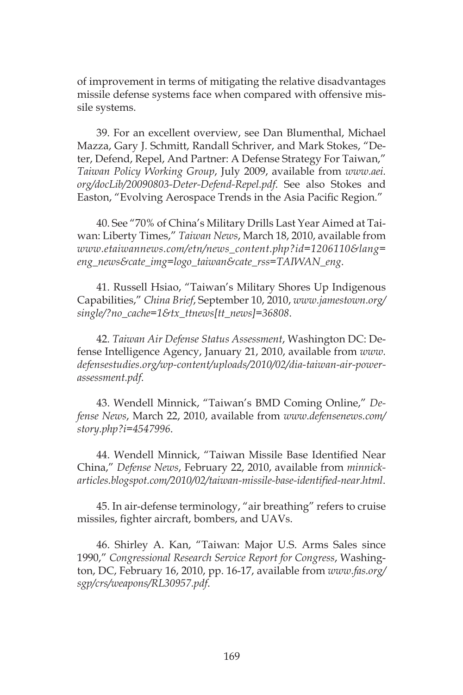of improvement in terms of mitigating the relative disadvantages missile defense systems face when compared with offensive missile systems.

39. For an excellent overview, see Dan Blumenthal, Michael Mazza, Gary J. Schmitt, Randall Schriver, and Mark Stokes, "Deter, Defend, Repel, And Partner: A Defense Strategy For Taiwan," *Taiwan Policy Working Group*, July 2009, available from *www.aei. org/docLib/20090803-Deter-Defend-Repel.pdf*. See also Stokes and Easton, "Evolving Aerospace Trends in the Asia Pacific Region."

40. See "70% of China's Military Drills Last Year Aimed at Taiwan: Liberty Times," *Taiwan News*, March 18, 2010, available from *www.etaiwannews.com/etn/news\_content.php?id=1206110&lang= eng\_news&cate\_img=logo\_taiwan&cate\_rss=TAIWAN\_eng*.

41. Russell Hsiao, "Taiwan's Military Shores Up Indigenous Capabilities," *China Brief*, September 10, 2010, *www.jamestown.org/ single/?no\_cache=1&tx\_ttnews[tt\_news]=36808*.

42. *Taiwan Air Defense Status Assessment*, Washington DC: Defense Intelligence Agency, January 21, 2010, available from *www. defensestudies.org/wp-content/uploads/2010/02/dia-taiwan-air-powerassessment.pdf*.

43. Wendell Minnick, "Taiwan's BMD Coming Online," *Defense News*, March 22, 2010, available from *www.defensenews.com/ story.php?i=4547996*.

44. Wendell Minnick, "Taiwan Missile Base Identified Near China," *Defense News*, February 22, 2010, available from *minnickarticles.blogspot.com/2010/02/taiwan-missile-base-identified-near.html*.

45. In air-defense terminology, "air breathing" refers to cruise missiles, fighter aircraft, bombers, and UAVs.

46. Shirley A. Kan, "Taiwan: Major U.S. Arms Sales since 1990," *Congressional Research Service Report for Congress*, Washington, DC, February 16, 2010, pp. 16-17, available from *www.fas.org/ sgp/crs/weapons/RL30957.pdf*.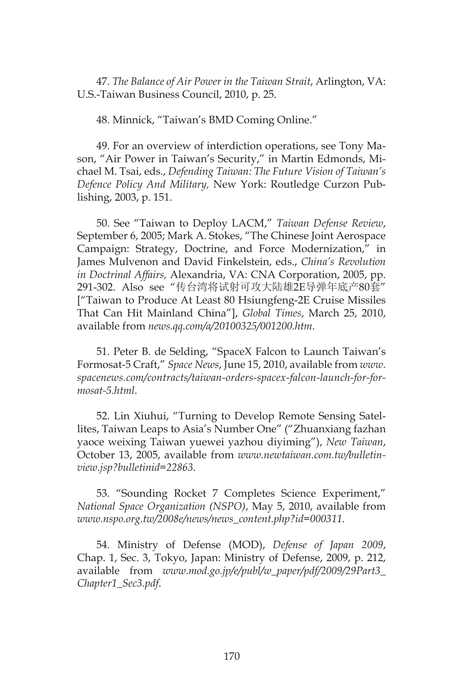47. *The Balance of Air Power in the Taiwan Strait*, Arlington, VA: U.S.-Taiwan Business Council, 2010, p. 25.

48. Minnick, "Taiwan's BMD Coming Online."

49. For an overview of interdiction operations, see Tony Mason, "Air Power in Taiwan's Security," in Martin Edmonds, Michael M. Tsai, eds., *Defending Taiwan: The Future Vision of Taiwan's Defence Policy And Military,* New York: Routledge Curzon Publishing, 2003, p. 151.

50. See "Taiwan to Deploy LACM," *Taiwan Defense Review*, September 6, 2005; Mark A. Stokes, "The Chinese Joint Aerospace Campaign: Strategy, Doctrine, and Force Modernization," in James Mulvenon and David Finkelstein, eds., *China's Revolution in Doctrinal Affairs,* Alexandria, VA: CNA Corporation, 2005, pp. 291-302. Also see "传台湾将试射可攻大陆雄2E导弹年底产80套" ["Taiwan to Produce At Least 80 Hsiungfeng-2E Cruise Missiles That Can Hit Mainland China"], *Global Times*, March 25, 2010, available from *news.qq.com/a/20100325/001200.htm*.

51. Peter B. de Selding, "SpaceX Falcon to Launch Taiwan's Formosat-5 Craft," *Space News*, June 15, 2010, available from *www. spacenews.com/contracts/taiwan-orders-spacex-falcon-launch-for-formosat-5.html*.

52. Lin Xiuhui, "Turning to Develop Remote Sensing Satellites, Taiwan Leaps to Asia's Number One" ("Zhuanxiang fazhan yaoce weixing Taiwan yuewei yazhou diyiming"), *New Taiwan*, October 13, 2005, available from *www.newtaiwan.com.tw/bulletinview.jsp?bulletinid=22863*.

53. "Sounding Rocket 7 Completes Science Experiment," *National Space Organization (NSPO)*, May 5, 2010, available from *www.nspo.org.tw/2008e/news/news\_content.php?id=000311*.

54. Ministry of Defense (MOD), *Defense of Japan 2009*, Chap. 1, Sec. 3, Tokyo, Japan: Ministry of Defense, 2009, p. 212, available from *www.mod.go.jp/e/publ/w\_paper/pdf/2009/29Part3\_ Chapter1\_Sec3.pdf*.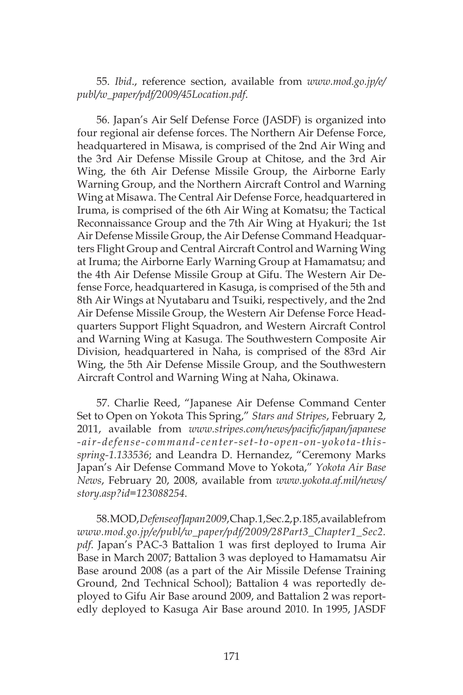55. *Ibid*., reference section, available from *www.mod.go.jp/e/ publ/w\_paper/pdf/2009/45Location.pdf*.

56. Japan's Air Self Defense Force (JASDF) is organized into four regional air defense forces. The Northern Air Defense Force, headquartered in Misawa, is comprised of the 2nd Air Wing and the 3rd Air Defense Missile Group at Chitose, and the 3rd Air Wing, the 6th Air Defense Missile Group, the Airborne Early Warning Group, and the Northern Aircraft Control and Warning Wing at Misawa. The Central Air Defense Force, headquartered in Iruma, is comprised of the 6th Air Wing at Komatsu; the Tactical Reconnaissance Group and the 7th Air Wing at Hyakuri; the 1st Air Defense Missile Group, the Air Defense Command Headquarters Flight Group and Central Aircraft Control and Warning Wing at Iruma; the Airborne Early Warning Group at Hamamatsu; and the 4th Air Defense Missile Group at Gifu. The Western Air Defense Force, headquartered in Kasuga, is comprised of the 5th and 8th Air Wings at Nyutabaru and Tsuiki, respectively, and the 2nd Air Defense Missile Group, the Western Air Defense Force Headquarters Support Flight Squadron, and Western Aircraft Control and Warning Wing at Kasuga. The Southwestern Composite Air Division, headquartered in Naha, is comprised of the 83rd Air Wing, the 5th Air Defense Missile Group, and the Southwestern Aircraft Control and Warning Wing at Naha, Okinawa.

57. Charlie Reed, "Japanese Air Defense Command Center Set to Open on Yokota This Spring," *Stars and Stripes*, February 2, 2011, available from *www.stripes.com/news/pacific/japan/japanese -air-defense-command-center-set-to-open-on-yokota-thisspring-1.133536*; and Leandra D. Hernandez, "Ceremony Marks Japan's Air Defense Command Move to Yokota," *Yokota Air Base News*, February 20, 2008, available from *www.yokota.af.mil/news/ story.asp?id=123088254*.

58. MOD, *Defense of Japan 2009*, Chap. 1, Sec. 2, p. 185, available from *www.mod.go.jp/e/publ/w\_paper/pdf/2009/28Part3\_Chapter1\_Sec2. pdf*. Japan's PAC-3 Battalion 1 was first deployed to Iruma Air Base in March 2007; Battalion 3 was deployed to Hamamatsu Air Base around 2008 (as a part of the Air Missile Defense Training Ground, 2nd Technical School); Battalion 4 was reportedly deployed to Gifu Air Base around 2009, and Battalion 2 was reportedly deployed to Kasuga Air Base around 2010. In 1995, JASDF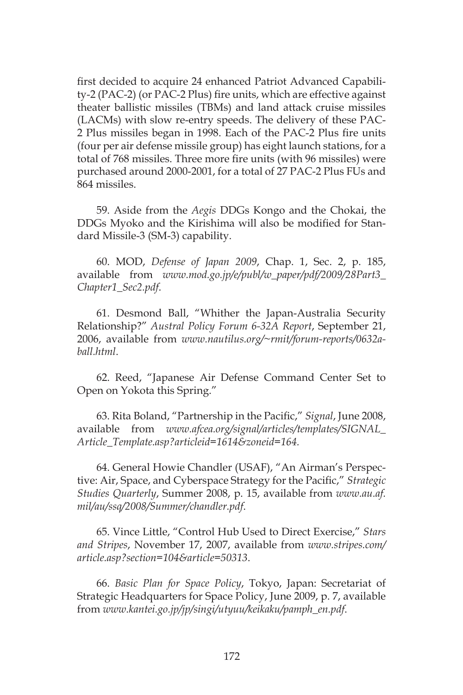first decided to acquire 24 enhanced Patriot Advanced Capability-2 (PAC-2) (or PAC-2 Plus) fire units, which are effective against theater ballistic missiles (TBMs) and land attack cruise missiles (LACMs) with slow re-entry speeds. The delivery of these PAC-2 Plus missiles began in 1998. Each of the PAC-2 Plus fire units (four per air defense missile group) has eight launch stations, for a total of 768 missiles. Three more fire units (with 96 missiles) were purchased around 2000-2001, for a total of 27 PAC-2 Plus FUs and 864 missiles.

59. Aside from the *Aegis* DDGs Kongo and the Chokai, the DDGs Myoko and the Kirishima will also be modified for Standard Missile-3 (SM-3) capability.

60. MOD, *Defense of Japan 2009*, Chap. 1, Sec. 2, p. 185, available from *www.mod.go.jp/e/publ/w\_paper/pdf/2009/28Part3\_ Chapter1\_Sec2.pdf*.

61. Desmond Ball, "Whither the Japan-Australia Security Relationship?" *Austral Policy Forum 6-32A Report*, September 21, 2006, available from *www.nautilus.org/~rmit/forum-reports/0632aball.html*.

62. Reed, "Japanese Air Defense Command Center Set to Open on Yokota this Spring."

63. Rita Boland, "Partnership in the Pacific," *Signal*, June 2008, available from *www.afcea.org/signal/articles/templates/SIGNAL\_ Article\_Template.asp?articleid=1614&zoneid=164.*

64. General Howie Chandler (USAF), "An Airman's Perspective: Air, Space, and Cyberspace Strategy for the Pacific," *Strategic Studies Quarterly*, Summer 2008, p. 15, available from *www.au.af. mil/au/ssq/2008/Summer/chandler.pdf*.

65. Vince Little, "Control Hub Used to Direct Exercise," *Stars and Stripes*, November 17, 2007, available from *www.stripes.com/ article.asp?section=104&article=50313*.

66. *Basic Plan for Space Policy*, Tokyo, Japan: Secretariat of Strategic Headquarters for Space Policy, June 2009, p. 7, available from *www.kantei.go.jp/jp/singi/utyuu/keikaku/pamph\_en.pdf*.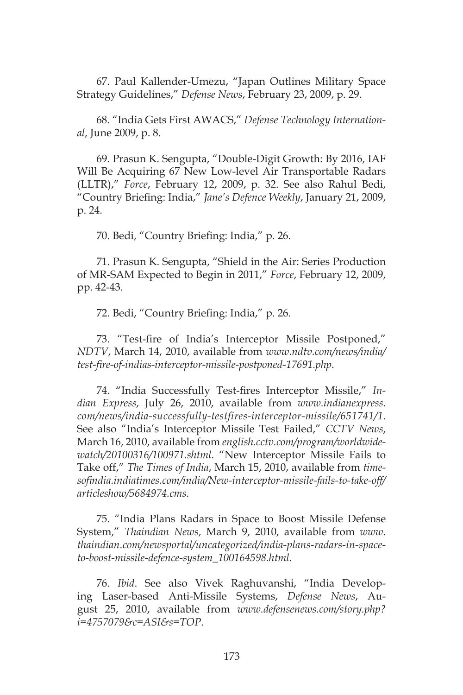67. Paul Kallender-Umezu, "Japan Outlines Military Space Strategy Guidelines," *Defense News*, February 23, 2009, p. 29.

68. "India Gets First AWACS," *Defense Technology International*, June 2009, p. 8.

69. Prasun K. Sengupta, "Double-Digit Growth: By 2016, IAF Will Be Acquiring 67 New Low-level Air Transportable Radars (LLTR)," *Force*, February 12, 2009, p. 32. See also Rahul Bedi, "Country Briefing: India," *Jane's Defence Weekly*, January 21, 2009, p. 24.

70. Bedi, "Country Briefing: India," p. 26.

71. Prasun K. Sengupta, "Shield in the Air: Series Production of MR-SAM Expected to Begin in 2011," *Force*, February 12, 2009, pp. 42-43.

72. Bedi, "Country Briefing: India," p. 26.

73. "Test-fire of India's Interceptor Missile Postponed," *NDTV*, March 14, 2010, available from *www.ndtv.com/news/india/ test-fire-of-indias-interceptor-missile-postponed-17691.php*.

74. "India Successfully Test-fires Interceptor Missile," *Indian Express*, July 26, 2010, available from *www.indianexpress. com/news/india-successfully-testfires-interceptor-missile/651741/1*. See also "India's Interceptor Missile Test Failed," *CCTV News*, March 16, 2010, available from *english.cctv.com/program/worldwidewatch/20100316/100971.shtml*. "New Interceptor Missile Fails to Take off," *The Times of India*, March 15, 2010, available from *timesofindia.indiatimes.com/india/New-interceptor-missile-fails-to-take-off/ articleshow/5684974.cms*.

75. "India Plans Radars in Space to Boost Missile Defense System," *Thaindian News*, March 9, 2010, available from *www. thaindian.com/newsportal/uncategorized/india-plans-radars-in-spaceto-boost-missile-defence-system\_100164598.html*.

76. *Ibid*. See also Vivek Raghuvanshi, "India Developing Laser-based Anti-Missile Systems, *Defense News*, August 25, 2010, available from *www.defensenews.com/story.php? i=4757079&c=ASI&s=TOP*.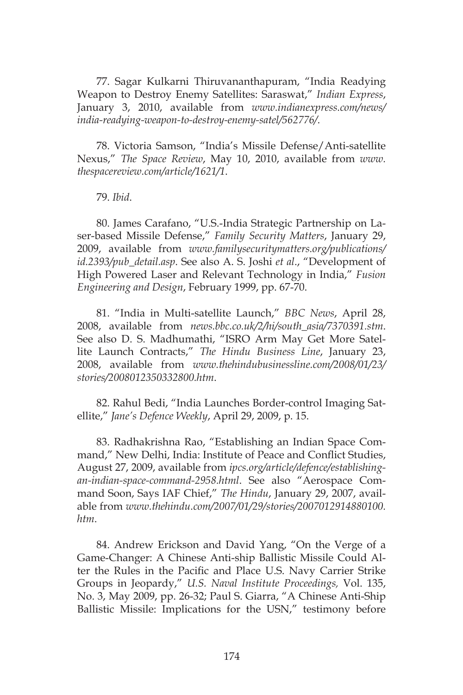77. Sagar Kulkarni Thiruvananthapuram, "India Readying Weapon to Destroy Enemy Satellites: Saraswat," *Indian Express*, January 3, 2010, available from *www.indianexpress.com/news/ india-readying-weapon-to-destroy-enemy-satel/562776/*.

78. Victoria Samson, "India's Missile Defense/Anti-satellite Nexus," *The Space Review*, May 10, 2010, available from *www. thespacereview.com/article/1621/1*.

79. *Ibid*.

80. James Carafano, "U.S.-India Strategic Partnership on Laser-based Missile Defense," *Family Security Matters*, January 29, 2009, available from *www.familysecuritymatters.org/publications/ id.2393/pub\_detail.asp*. See also A. S. Joshi *et al*., "Development of High Powered Laser and Relevant Technology in India," *Fusion Engineering and Design*, February 1999, pp. 67-70.

81. "India in Multi-satellite Launch," *BBC News*, April 28, 2008, available from *news.bbc.co.uk/2/hi/south\_asia/7370391.stm*. See also D. S. Madhumathi, "ISRO Arm May Get More Satellite Launch Contracts," *The Hindu Business Line*, January 23, 2008, available from *www.thehindubusinessline.com/2008/01/23/ stories/2008012350332800.htm*.

82. Rahul Bedi, "India Launches Border-control Imaging Satellite," *Jane's Defence Weekly*, April 29, 2009, p. 15.

83. Radhakrishna Rao, "Establishing an Indian Space Command," New Delhi, India: Institute of Peace and Conflict Studies, August 27, 2009, available from *ipcs.org/article/defence/establishingan-indian-space-command-2958.html*. See also "Aerospace Command Soon, Says IAF Chief," *The Hindu*, January 29, 2007, available from *www.thehindu.com/2007/01/29/stories/2007012914880100. htm*.

84. Andrew Erickson and David Yang, "On the Verge of a Game-Changer: A Chinese Anti-ship Ballistic Missile Could Alter the Rules in the Pacific and Place U.S. Navy Carrier Strike Groups in Jeopardy," *U.S. Naval Institute Proceedings,* Vol. 135, No. 3, May 2009, pp. 26-32; Paul S. Giarra, "A Chinese Anti-Ship Ballistic Missile: Implications for the USN," testimony before